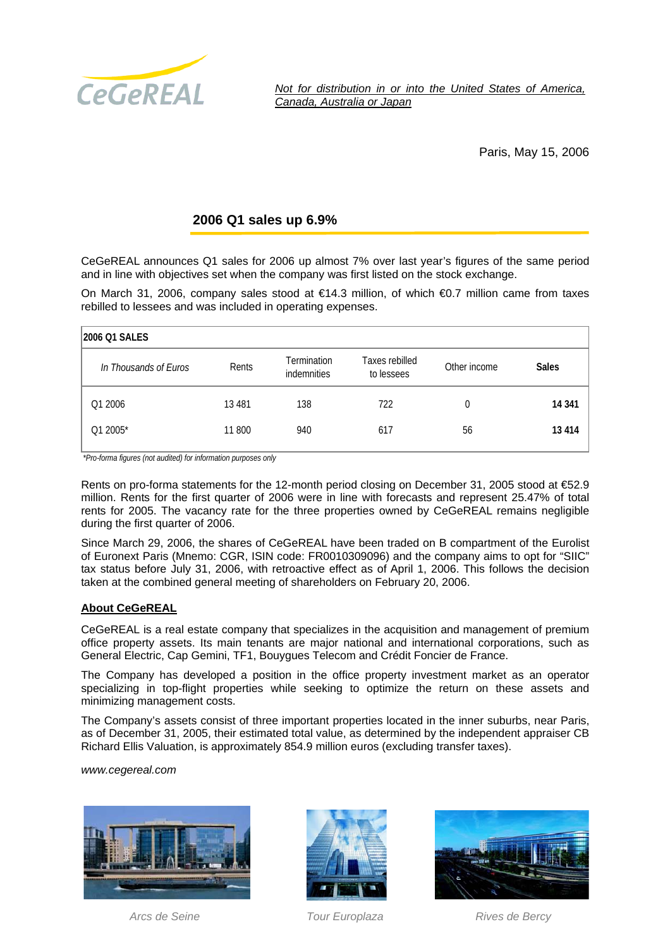

*Not for distribution in or into the United States of America, Canada, Australia or Japan* 

Paris, May 15, 2006

## **2006 Q1 sales up 6.9%**

CeGeREAL announces Q1 sales for 2006 up almost 7% over last year's figures of the same period and in line with objectives set when the company was first listed on the stock exchange.

On March 31, 2006, company sales stood at €14.3 million, of which €0.7 million came from taxes rebilled to lessees and was included in operating expenses.

| 2006 Q1 SALES         |          |                                   |                              |              |              |
|-----------------------|----------|-----------------------------------|------------------------------|--------------|--------------|
| In Thousands of Euros | Rents    | <b>Termination</b><br>indemnities | Taxes rebilled<br>to lessees | Other income | <b>Sales</b> |
| Q1 2006               | 13 4 8 1 | 138                               | 722                          | 0            | 14 341       |
| Q1 2005*              | 11 800   | 940                               | 617                          | 56           | 13 414       |

*\*Pro-forma figures (not audited) for information purposes only*

Rents on pro-forma statements for the 12-month period closing on December 31, 2005 stood at €52.9 million. Rents for the first quarter of 2006 were in line with forecasts and represent 25.47% of total rents for 2005. The vacancy rate for the three properties owned by CeGeREAL remains negligible during the first quarter of 2006.

Since March 29, 2006, the shares of CeGeREAL have been traded on B compartment of the Eurolist of Euronext Paris (Mnemo: CGR, ISIN code: FR0010309096) and the company aims to opt for "SIIC" tax status before July 31, 2006, with retroactive effect as of April 1, 2006. This follows the decision taken at the combined general meeting of shareholders on February 20, 2006.

## **About CeGeREAL**

CeGeREAL is a real estate company that specializes in the acquisition and management of premium office property assets. Its main tenants are major national and international corporations, such as General Electric, Cap Gemini, TF1, Bouygues Telecom and Crédit Foncier de France.

The Company has developed a position in the office property investment market as an operator specializing in top-flight properties while seeking to optimize the return on these assets and minimizing management costs.

The Company's assets consist of three important properties located in the inner suburbs, near Paris, as of December 31, 2005, their estimated total value, as determined by the independent appraiser CB Richard Ellis Valuation, is approximately 854.9 million euros (excluding transfer taxes).

*www.cegereal.com* 







*Arcs de Seine Tour Europlaza Rives de Bercy*